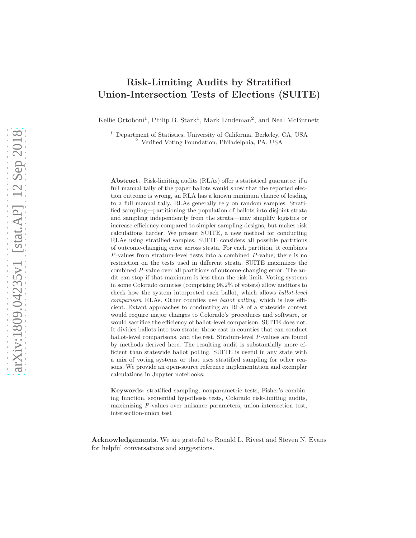# Risk-Limiting Audits by Stratified Union-Intersection Tests of Elections (SUITE)

Kellie Ottoboni<sup>1</sup>, Philip B. Stark<sup>1</sup>, Mark Lindeman<sup>2</sup>, and Neal McBurnett

<sup>1</sup> Department of Statistics, University of California, Berkeley, CA, USA <sup>2</sup> Verified Voting Foundation, Philadelphia, PA, USA

Abstract. Risk-limiting audits (RLAs) offer a statistical guarantee: if a full manual tally of the paper ballots would show that the reported election outcome is wrong, an RLA has a known minimum chance of leading to a full manual tally. RLAs generally rely on random samples. Stratified sampling—partitioning the population of ballots into disjoint strata and sampling independently from the strata—may simplify logistics or increase efficiency compared to simpler sampling designs, but makes risk calculations harder. We present SUITE, a new method for conducting RLAs using stratified samples. SUITE considers all possible partitions of outcome-changing error across strata. For each partition, it combines P-values from stratum-level tests into a combined P-value; there is no restriction on the tests used in different strata. SUITE maximizes the combined P-value over all partitions of outcome-changing error. The audit can stop if that maximum is less than the risk limit. Voting systems in some Colorado counties (comprising 98.2% of voters) allow auditors to check how the system interpreted each ballot, which allows ballot-level comparison RLAs. Other counties use ballot polling, which is less efficient. Extant approaches to conducting an RLA of a statewide contest would require major changes to Colorado's procedures and software, or would sacrifice the efficiency of ballot-level comparison. SUITE does not. It divides ballots into two strata: those cast in counties that can conduct ballot-level comparisons, and the rest. Stratum-level P-values are found by methods derived here. The resulting audit is substantially more efficient than statewide ballot polling. SUITE is useful in any state with a mix of voting systems or that uses stratified sampling for other reasons. We provide an open-source reference implementation and exemplar calculations in Jupyter notebooks.

Keywords: stratified sampling, nonparametric tests, Fisher's combining function, sequential hypothesis tests, Colorado risk-limiting audits, maximizing P-values over nuisance parameters, union-intersection test, intersection-union test

Acknowledgements. We are grateful to Ronald L. Rivest and Steven N. Evans for helpful conversations and suggestions.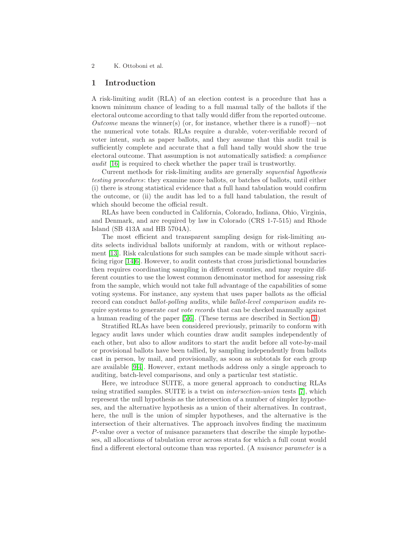## 1 Introduction

A risk-limiting audit (RLA) of an election contest is a procedure that has a known minimum chance of leading to a full manual tally of the ballots if the electoral outcome according to that tally would differ from the reported outcome. Outcome means the winner(s) (or, for instance, whether there is a runoff)—not the numerical vote totals. RLAs require a durable, voter-verifiable record of voter intent, such as paper ballots, and they assume that this audit trail is sufficiently complete and accurate that a full hand tally would show the true electoral outcome. That assumption is not automatically satisfied: a compliance audit [\[16\]](#page-14-0) is required to check whether the paper trail is trustworthy.

Current methods for risk-limiting audits are generally sequential hypothesis testing procedures: they examine more ballots, or batches of ballots, until either (i) there is strong statistical evidence that a full hand tabulation would confirm the outcome, or (ii) the audit has led to a full hand tabulation, the result of which should become the official result.

RLAs have been conducted in California, Colorado, Indiana, Ohio, Virginia, and Denmark, and are required by law in Colorado (CRS 1-7-515) and Rhode Island (SB 413A and HB 5704A).

The most efficient and transparent sampling design for risk-limiting audits selects individual ballots uniformly at random, with or without replacement [\[13\]](#page-14-1). Risk calculations for such samples can be made simple without sacrificing rigor [\[14,](#page-14-2)[6\]](#page-14-3). However, to audit contests that cross jurisdictional boundaries then requires coordinating sampling in different counties, and may require different counties to use the lowest common denominator method for assessing risk from the sample, which would not take full advantage of the capabilities of some voting systems. For instance, any system that uses paper ballots as the official record can conduct ballot-polling audits, while ballot-level comparison audits require systems to generate *cast vote records* that can be checked manually against a human reading of the paper [\[5](#page-14-4)[,6\]](#page-14-3). (These terms are described in Section [3.](#page-5-0))

Stratified RLAs have been considered previously, primarily to conform with legacy audit laws under which counties draw audit samples independently of each other, but also to allow auditors to start the audit before all vote-by-mail or provisional ballots have been tallied, by sampling independently from ballots cast in person, by mail, and provisionally, as soon as subtotals for each group are available [\[9,](#page-14-5)[4\]](#page-14-6). However, extant methods address only a single approach to auditing, batch-level comparisons, and only a particular test statistic.

Here, we introduce SUITE, a more general approach to conducting RLAs using stratified samples. SUITE is a twist on intersection-union tests [\[7\]](#page-14-7), which represent the null hypothesis as the intersection of a number of simpler hypotheses, and the alternative hypothesis as a union of their alternatives. In contrast, here, the null is the union of simpler hypotheses, and the alternative is the intersection of their alternatives. The approach involves finding the maximum P-value over a vector of nuisance parameters that describe the simple hypotheses, all allocations of tabulation error across strata for which a full count would find a different electoral outcome than was reported. (A nuisance parameter is a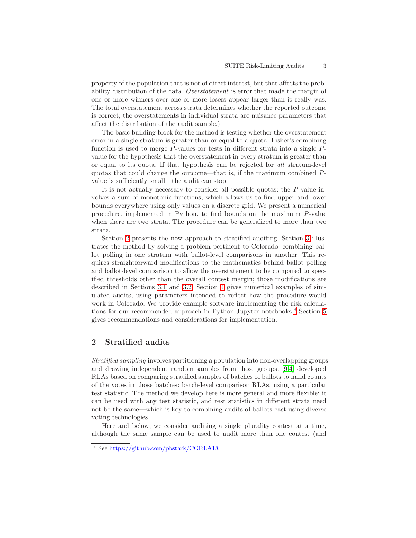property of the population that is not of direct interest, but that affects the probability distribution of the data. Overstatement is error that made the margin of one or more winners over one or more losers appear larger than it really was. The total overstatement across strata determines whether the reported outcome is correct; the overstatements in individual strata are nuisance parameters that affect the distribution of the audit sample.)

The basic building block for the method is testing whether the overstatement error in a single stratum is greater than or equal to a quota. Fisher's combining function is used to merge P-values for tests in different strata into a single Pvalue for the hypothesis that the overstatement in every stratum is greater than or equal to its quota. If that hypothesis can be rejected for all stratum-level quotas that could change the outcome—that is, if the maximum combined Pvalue is sufficiently small—the audit can stop.

It is not actually necessary to consider all possible quotas: the P-value involves a sum of monotonic functions, which allows us to find upper and lower bounds everywhere using only values on a discrete grid. We present a numerical procedure, implemented in Python, to find bounds on the maximum P-value when there are two strata. The procedure can be generalized to more than two strata.

Section [2](#page-2-0) presents the new approach to stratified auditing. Section [3](#page-5-0) illustrates the method by solving a problem pertinent to Colorado: combining ballot polling in one stratum with ballot-level comparisons in another. This requires straightforward modifications to the mathematics behind ballot polling and ballot-level comparison to allow the overstatement to be compared to specified thresholds other than the overall contest margin; those modifications are described in Sections [3.1](#page-7-0) and [3.2.](#page-7-1) Section [4](#page-8-0) gives numerical examples of simulated audits, using parameters intended to reflect how the procedure would work in Colorado. We provide example software implementing the risk calcula-tions for our recommended approach in Python Jupyter notebooks.<sup>[3](#page-2-1)</sup> Section [5](#page-9-0) gives recommendations and considerations for implementation.

# <span id="page-2-0"></span>2 Stratified audits

Stratified sampling involves partitioning a population into non-overlapping groups and drawing independent random samples from those groups. [\[9,](#page-14-5)[4\]](#page-14-6) developed RLAs based on comparing stratified samples of batches of ballots to hand counts of the votes in those batches: batch-level comparison RLAs, using a particular test statistic. The method we develop here is more general and more flexible: it can be used with any test statistic, and test statistics in different strata need not be the same—which is key to combining audits of ballots cast using diverse voting technologies.

Here and below, we consider auditing a single plurality contest at a time, although the same sample can be used to audit more than one contest (and

<span id="page-2-1"></span><sup>3</sup> See [https://github.com/pbstark/CORLA18.](https://github.com/pbstark/CORLA18)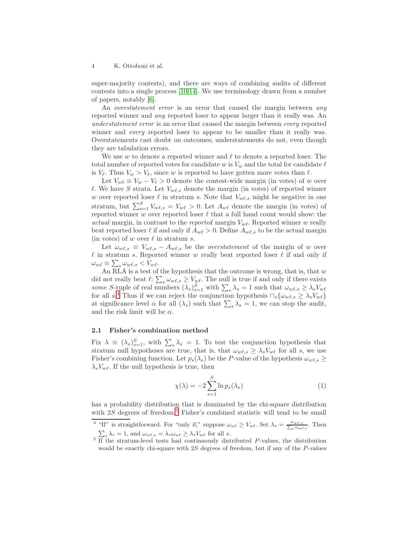super-majority contests), and there are ways of combining audits of different contests into a single process [\[10](#page-14-8)[,14\]](#page-14-2). We use terminology drawn from a number of papers, notably [\[6\]](#page-14-3).

An *overstatement error* is an error that caused the margin between *any* reported winner and any reported loser to appear larger than it really was. An understatement error is an error that caused the margin between every reported winner and *every* reported loser to appear to be smaller than it really was. Overstatements cast doubt on outcomes; understatements do not, even though they are tabulation errors.

We use w to denote a reported winner and  $\ell$  to denote a reported loser. The total number of reported votes for candidate w is  $V_w$  and the total for candidate  $\ell$ is  $V_{\ell}$ . Thus  $V_{w} > V_{\ell}$ , since w is reported to have gotten more votes than  $\ell$ .

Let  $V_{w\ell} \equiv V_w - V_{\ell} > 0$  denote the contest-wide margin (in votes) of w over l. We have S strata. Let  $V_{w\ell,s}$  denote the margin (in votes) of reported winner w over reported loser  $\ell$  in stratum s. Note that  $V_{w\ell,s}$  might be negative in one stratum, but  $\sum_{s=1}^{S} V_{w\ell,s} = V_{w\ell} > 0$ . Let  $A_{w\ell}$  denote the margin (in votes) of reported winner w over reported loser  $\ell$  that a full hand count would show: the actual margin, in contrast to the reported margin  $V_{w\ell}$ . Reported winner w really beat reported loser  $\ell$  if and only if  $A_{w\ell} > 0$ . Define  $A_{w\ell,s}$  to be the actual margin (in votes) of w over  $\ell$  in stratum s.

Let  $\omega_{w\ell,s} \equiv V_{w\ell,s} - A_{w\ell,s}$  be the *overstatement* of the margin of w over  $\ell$  in stratum s. Reported winner w really beat reported loser  $\ell$  if and only if  $\omega_{w\ell} \equiv \sum_s \omega_{w\ell,s} < V_{w\ell}.$ 

An RLA is a test of the hypothesis that the outcome is wrong, that is, that  $w$ did not really beat  $\ell: \sum_s \omega_{w\ell,s} \geq V_{w\ell}$ . The null is true if and only if there exists some S-tuple of real numbers  $(\lambda_s)_{s=1}^S$  with  $\sum_s \lambda_s = 1$  such that  $\omega_{w\ell,s} \ge \lambda_s V_{w\ell}$ for all  $s^4$  $s^4$ . Thus if we can reject the conjunction hypothesis  $\cap_s \{\omega_{w\ell,s} \geq \lambda_s V_{w\ell}\}\$ at significance level  $\alpha$  for all  $(\lambda_s)$  such that  $\sum_s \lambda_s = 1$ , we can stop the audit, and the risk limit will be  $\alpha$ .

## 2.1 Fisher's combination method

Fix  $\lambda \equiv (\lambda_s)_{s=1}^S$ , with  $\sum_s \lambda_s = 1$ . To test the conjunction hypothesis that stratum null hypotheses are true, that is, that  $\omega_{w\ell,s} \geq \lambda_s V_{w\ell}$  for all s, we use Fisher's combining function. Let  $p_s(\lambda_s)$  be the P-value of the hypothesis  $\omega_{w\ell,s} \geq$  $\lambda_s V_{w\ell}$ . If the null hypothesis is true, then

<span id="page-3-2"></span>
$$
\chi(\lambda) = -2 \sum_{s=1}^{S} \ln p_s(\lambda_s)
$$
 (1)

has a probability distribution that is dominated by the chi-square distribution with  $2S$  degrees of freedom.<sup>[5](#page-3-1)</sup> Fisher's combined statistic will tend to be small

<sup>&</sup>lt;sup>4</sup> "If" is straightforward. For "only if," suppose  $\omega_{w\ell} \ge V_{w\ell}$ . Set  $\lambda_s = \frac{\omega_{w\ell,s}}{\sum_t \omega_{w\ell}}$  $\frac{\omega_{w\ell,s}}{t \omega_{w\ell,t}}$ . Then

<span id="page-3-1"></span><span id="page-3-0"></span> $\sum_{s} \lambda_{s} = 1$ , and  $\omega_{w\ell,s} = \lambda_{s} \omega_{w\ell} \geq \lambda_{s} V_{w\ell}$  for all s.<br>If the stratum-level tests had continuously distributed *P*-values, the distribution would be exactly chi-square with  $2S$  degrees of freedom, but if any of the  $P$ -values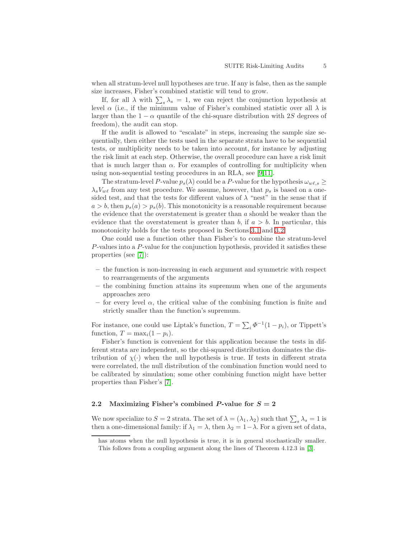when all stratum-level null hypotheses are true. If any is false, then as the sample size increases, Fisher's combined statistic will tend to grow.

If, for all  $\lambda$  with  $\sum_{s} \lambda_s = 1$ , we can reject the conjunction hypothesis at level  $\alpha$  (i.e., if the minimum value of Fisher's combined statistic over all  $\lambda$  is larger than the  $1 - \alpha$  quantile of the chi-square distribution with 2S degrees of freedom), the audit can stop.

If the audit is allowed to "escalate" in steps, increasing the sample size sequentially, then either the tests used in the separate strata have to be sequential tests, or multiplicity needs to be taken into account, for instance by adjusting the risk limit at each step. Otherwise, the overall procedure can have a risk limit that is much larger than  $\alpha$ . For examples of controlling for multiplicity when using non-sequential testing procedures in an RLA, see [\[9](#page-14-5)[,11\]](#page-14-9).

The stratum-level P-value  $p_s(\lambda)$  could be a P-value for the hypothesis  $\omega_{w\ell,s} \geq$  $\lambda_s V_{w\ell}$  from any test procedure. We assume, however, that  $p_s$  is based on a onesided test, and that the tests for different values of  $\lambda$  "nest" in the sense that if  $a > b$ , then  $p_s(a) > p_s(b)$ . This monotonicity is a reasonable requirement because the evidence that the overstatement is greater than  $a$  should be weaker than the evidence that the overstatement is greater than b, if  $a > b$ . In particular, this monotonicity holds for the tests proposed in Sections [3.1](#page-7-0) and [3.2.](#page-7-1)

One could use a function other than Fisher's to combine the stratum-level P-values into a P-value for the conjunction hypothesis, provided it satisfies these properties (see [\[7\]](#page-14-7)):

- the function is non-increasing in each argument and symmetric with respect to rearrangements of the arguments
- the combining function attains its supremum when one of the arguments approaches zero
- for every level  $\alpha$ , the critical value of the combining function is finite and strictly smaller than the function's supremum.

For instance, one could use Liptak's function,  $T = \sum_i \Phi^{-1}(1 - p_i)$ , or Tippett's function,  $T = \max_i (1 - p_i)$ .

Fisher's function is convenient for this application because the tests in different strata are independent, so the chi-squared distribution dominates the distribution of  $\chi(\cdot)$  when the null hypothesis is true. If tests in different strata were correlated, the null distribution of the combination function would need to be calibrated by simulation; some other combining function might have better properties than Fisher's [\[7\]](#page-14-7).

### 2.2 Maximizing Fisher's combined P-value for  $S = 2$

We now specialize to  $S = 2$  strata. The set of  $\lambda = (\lambda_1, \lambda_2)$  such that  $\sum_s \lambda_s = 1$  is then a one-dimensional family: if  $\lambda_1 = \lambda$ , then  $\lambda_2 = 1 - \lambda$ . For a given set of data,

has atoms when the null hypothesis is true, it is in general stochastically smaller. This follows from a coupling argument along the lines of Theorem 4.12.3 in [\[3\]](#page-14-10).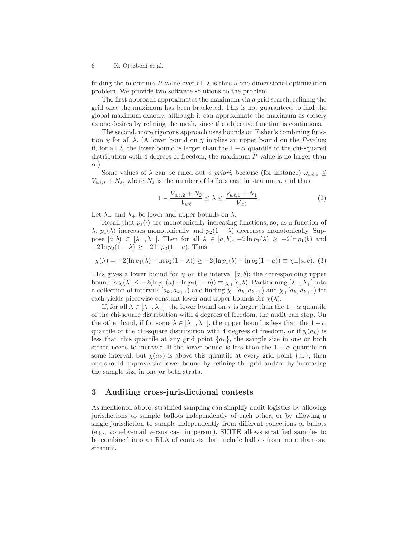finding the maximum P-value over all  $\lambda$  is thus a one-dimensional optimization problem. We provide two software solutions to the problem.

The first approach approximates the maximum via a grid search, refining the grid once the maximum has been bracketed. This is not guaranteed to find the global maximum exactly, although it can approximate the maximum as closely as one desires by refining the mesh, since the objective function is continuous.

The second, more rigorous approach uses bounds on Fisher's combining function  $\chi$  for all  $\lambda$ . (A lower bound on  $\chi$  implies an upper bound on the P-value: if, for all  $\lambda$ , the lower bound is larger than the  $1 - \alpha$  quantile of the chi-squared distribution with 4 degrees of freedom, the maximum P-value is no larger than  $\alpha$ .)

Some values of  $\lambda$  can be ruled out a priori, because (for instance)  $\omega_{w\ell,s} \leq$  $V_{w\ell,s} + N_s$ , where  $N_s$  is the number of ballots cast in stratum s, and thus

$$
1 - \frac{V_{w\ell,2} + N_2}{V_{w\ell}} \le \lambda \le \frac{V_{w\ell,1} + N_1}{V_{w\ell}}.
$$
 (2)

Let  $\lambda_-\$  and  $\lambda_+\$  be lower and upper bounds on  $\lambda$ .

Recall that  $p_s(\cdot)$  are monotonically increasing functions, so, as a function of  $\lambda$ ,  $p_1(\lambda)$  increases monotonically and  $p_2(1 - \lambda)$  decreases monotonically. Suppose  $[a, b) \subset [\lambda_-, \lambda_+]$ . Then for all  $\lambda \in [a, b)$ ,  $-2 \ln p_1(\lambda) \ge -2 \ln p_1(b)$  and  $-2 \ln p_2(1 - \lambda) \ge -2 \ln p_2(1 - a)$ . Thus

<span id="page-5-1"></span>
$$
\chi(\lambda) = -2(\ln p_1(\lambda) + \ln p_2(1 - \lambda)) \ge -2(\ln p_1(b) + \ln p_2(1 - a)) \equiv \chi_{-}(a, b). \tag{3}
$$

This gives a lower bound for  $\chi$  on the interval [a, b); the corresponding upper bound is  $\chi(\lambda) \leq -2(\ln p_1(a) + \ln p_2(1-b)) \equiv \chi_+(a, b)$ . Partitioning  $[\lambda_-, \lambda_+]$  into a collection of intervals  $[a_k, a_{k+1})$  and finding  $\chi$ - $[a_k, a_{k+1})$  and  $\chi$ + $[a_k, a_{k+1})$  for each yields piecewise-constant lower and upper bounds for  $\chi(\lambda)$ .

If, for all  $\lambda \in [\lambda_-, \lambda_+]$ , the lower bound on  $\chi$  is larger than the  $1-\alpha$  quantile of the chi-square distribution with 4 degrees of freedom, the audit can stop. On the other hand, if for some  $\lambda \in [\lambda_-, \lambda_+]$ , the upper bound is less than the  $1 - \alpha$ quantile of the chi-square distribution with 4 degrees of freedom, or if  $\chi(a_k)$  is less than this quantile at any grid point  $\{a_k\}$ , the sample size in one or both strata needs to increase. If the lower bound is less than the  $1 - \alpha$  quantile on some interval, but  $\chi(a_k)$  is above this quantile at every grid point  $\{a_k\}$ , then one should improve the lower bound by refining the grid and/or by increasing the sample size in one or both strata.

## <span id="page-5-0"></span>3 Auditing cross-jurisdictional contests

As mentioned above, stratified sampling can simplify audit logistics by allowing jurisdictions to sample ballots independently of each other, or by allowing a single jurisdiction to sample independently from different collections of ballots (e.g., vote-by-mail versus cast in person). SUITE allows stratified samples to be combined into an RLA of contests that include ballots from more than one stratum.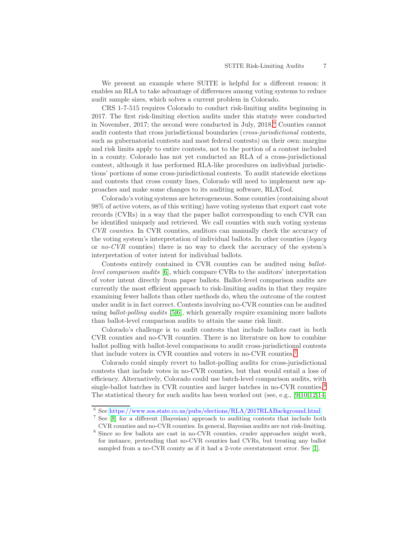We present an example where SUITE is helpful for a different reason: it enables an RLA to take advantage of differences among voting systems to reduce audit sample sizes, which solves a current problem in Colorado.

CRS 1-7-515 requires Colorado to conduct risk-limiting audits beginning in 2017. The first risk-limiting election audits under this statute were conducted in November, 2017; the second were conducted in July, 2018.<sup>[6](#page-6-0)</sup> Counties cannot audit contests that cross jurisdictional boundaries (cross-jurisdictional contests, such as gubernatorial contests and most federal contests) on their own: margins and risk limits apply to entire contests, not to the portion of a contest included in a county. Colorado has not yet conducted an RLA of a cross-jurisdictional contest, although it has performed RLA-like procedures on individual jurisdictions' portions of some cross-jurisdictional contests. To audit statewide elections and contests that cross county lines, Colorado will need to implement new approaches and make some changes to its auditing software, RLATool.

Colorado's voting systems are heterogeneous. Some counties (containing about 98% of active voters, as of this writing) have voting systems that export cast vote records (CVRs) in a way that the paper ballot corresponding to each CVR can be identified uniquely and retrieved. We call counties with such voting systems CVR counties. In CVR counties, auditors can manually check the accuracy of the voting system's interpretation of individual ballots. In other counties (legacy or no-CVR counties) there is no way to check the accuracy of the system's interpretation of voter intent for individual ballots.

Contests entirely contained in CVR counties can be audited using ballotlevel comparison audits [\[6\]](#page-14-3), which compare CVRs to the auditors' interpretation of voter intent directly from paper ballots. Ballot-level comparison audits are currently the most efficient approach to risk-limiting audits in that they require examining fewer ballots than other methods do, when the outcome of the contest under audit is in fact correct. Contests involving no-CVR counties can be audited using ballot-polling audits [\[5](#page-14-4)[,6\]](#page-14-3), which generally require examining more ballots than ballot-level comparison audits to attain the same risk limit.

Colorado's challenge is to audit contests that include ballots cast in both CVR counties and no-CVR counties. There is no literature on how to combine ballot polling with ballot-level comparisons to audit cross-jurisdictional contests that include voters in CVR counties and voters in no-CVR counties.[7](#page-6-1)

Colorado could simply revert to ballot-polling audits for cross-jurisdictional contests that include votes in no-CVR counties, but that would entail a loss of efficiency. Alternatively, Colorado could use batch-level comparison audits, with single-ballot batches in CVR counties and larger batches in no-CVR counties.<sup>[8](#page-6-2)</sup> The statistical theory for such audits has been worked out (see, e.g., [\[9](#page-14-5)[,10,](#page-14-8)[12,](#page-14-11)[14\]](#page-14-2)

<sup>6</sup> See <https://www.sos.state.co.us/pubs/elections/RLA/2017RLABackground.html>

<span id="page-6-0"></span><sup>7</sup> See [\[8\]](#page-14-12) for a different (Bayesian) approach to auditing contests that include both CVR counties and no-CVR counties. In general, Bayesian audits are not risk-limiting.

<span id="page-6-2"></span><span id="page-6-1"></span><sup>&</sup>lt;sup>8</sup> Since so few ballots are cast in no-CVR counties, cruder approaches might work, for instance, pretending that no-CVR counties had CVRs, but treating any ballot sampled from a no-CVR county as if it had a 2-vote overstatement error. See [\[1\]](#page-14-13).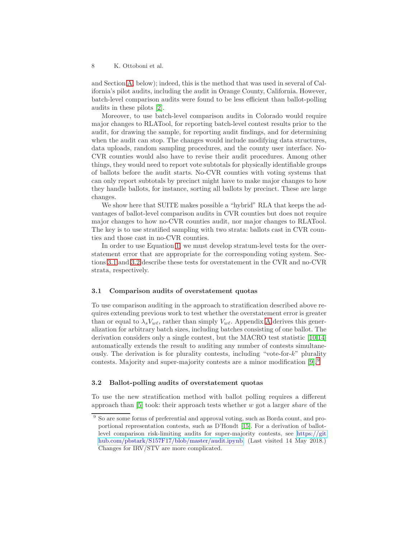and Section [A,](#page-9-1) below); indeed, this is the method that was used in several of California's pilot audits, including the audit in Orange County, California. However, batch-level comparison audits were found to be less efficient than ballot-polling audits in these pilots [\[2\]](#page-14-14).

Moreover, to use batch-level comparison audits in Colorado would require major changes to RLATool, for reporting batch-level contest results prior to the audit, for drawing the sample, for reporting audit findings, and for determining when the audit can stop. The changes would include modifying data structures, data uploads, random sampling procedures, and the county user interface. No-CVR counties would also have to revise their audit procedures. Among other things, they would need to report vote subtotals for physically identifiable groups of ballots before the audit starts. No-CVR counties with voting systems that can only report subtotals by precinct might have to make major changes to how they handle ballots, for instance, sorting all ballots by precinct. These are large changes.

We show here that SUITE makes possible a "hybrid" RLA that keeps the advantages of ballot-level comparison audits in CVR counties but does not require major changes to how no-CVR counties audit, nor major changes to RLATool. The key is to use stratified sampling with two strata: ballots cast in CVR counties and those cast in no-CVR counties.

In order to use Equation [1,](#page-3-2) we must develop stratum-level tests for the overstatement error that are appropriate for the corresponding voting system. Sections [3.1](#page-7-0) and [3.2](#page-7-1) describe these tests for overstatement in the CVR and no-CVR strata, respectively.

#### <span id="page-7-0"></span>3.1 Comparison audits of overstatement quotas

To use comparison auditing in the approach to stratification described above requires extending previous work to test whether the overstatement error is greater than or equal to  $\lambda_s V_{w\ell}$ , rather than simply  $V_{w\ell}$ . [A](#page-9-1)ppendix A derives this generalization for arbitrary batch sizes, including batches consisting of one ballot. The derivation considers only a single contest, but the MACRO test statistic [\[10,](#page-14-8)[14\]](#page-14-2) automatically extends the result to auditing any number of contests simultaneously. The derivation is for plurality contests, including "vote-for-k" plurality contests. Majority and super-majority contests are a minor modification [\[9\]](#page-14-5).[9](#page-7-2)

#### <span id="page-7-1"></span>3.2 Ballot-polling audits of overstatement quotas

To use the new stratification method with ballot polling requires a different approach than [\[5\]](#page-14-4) took: their approach tests whether w got a larger share of the

<span id="page-7-2"></span><sup>&</sup>lt;sup>9</sup> So are some forms of preferential and approval voting, such as Borda count, and proportional representation contests, such as D'Hondt [\[15\]](#page-14-15). For a derivation of ballotlevel comparison risk-limiting audits for super-majority contests, see [https://git](https://github.com/pbstark/S157F17/blob/master/audit.ipynb) [hub.com/pbstark/S157F17/blob/master/audit.ipynb.](https://github.com/pbstark/S157F17/blob/master/audit.ipynb) (Last visited 14 May 2018.) Changes for IRV/STV are more complicated.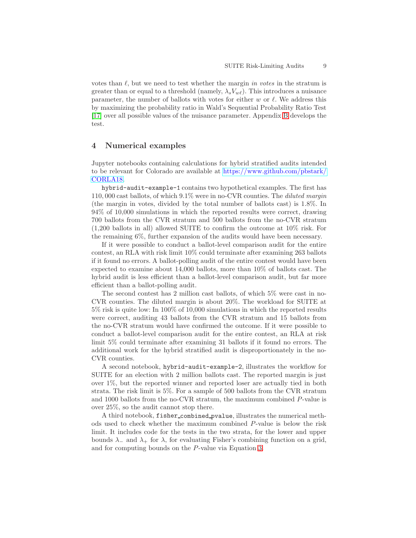votes than  $\ell$ , but we need to test whether the margin in votes in the stratum is greater than or equal to a threshold (namely,  $\lambda_s V_{w\ell}$ ). This introduces a nuisance parameter, the number of ballots with votes for either w or  $\ell$ . We address this by maximizing the probability ratio in Wald's Sequential Probability Ratio Test [\[17\]](#page-14-16) over all possible values of the nuisance parameter. Appendix [B](#page-12-0) develops the test.

## <span id="page-8-0"></span>4 Numerical examples

Jupyter notebooks containing calculations for hybrid stratified audits intended to be relevant for Colorado are available at [https://www.github.com/pbstark/](https://www.github.com/pbstark/CORLA18) [CORLA18.](https://www.github.com/pbstark/CORLA18)

hybrid-audit-example-1 contains two hypothetical examples. The first has 110, 000 cast ballots, of which 9.1% were in no-CVR counties. The diluted margin (the margin in votes, divided by the total number of ballots cast) is 1.8%. In 94% of 10,000 simulations in which the reported results were correct, drawing 700 ballots from the CVR stratum and 500 ballots from the no-CVR stratum (1,200 ballots in all) allowed SUITE to confirm the outcome at 10% risk. For the remaining 6%, further expansion of the audits would have been necessary.

If it were possible to conduct a ballot-level comparison audit for the entire contest, an RLA with risk limit 10% could terminate after examining 263 ballots if it found no errors. A ballot-polling audit of the entire contest would have been expected to examine about 14,000 ballots, more than 10% of ballots cast. The hybrid audit is less efficient than a ballot-level comparison audit, but far more efficient than a ballot-polling audit.

The second contest has 2 million cast ballots, of which 5% were cast in no-CVR counties. The diluted margin is about 20%. The workload for SUITE at 5% risk is quite low: In 100% of 10,000 simulations in which the reported results were correct, auditing 43 ballots from the CVR stratum and 15 ballots from the no-CVR stratum would have confirmed the outcome. If it were possible to conduct a ballot-level comparison audit for the entire contest, an RLA at risk limit 5% could terminate after examining 31 ballots if it found no errors. The additional work for the hybrid stratified audit is disproportionately in the no-CVR counties.

A second notebook, hybrid-audit-example-2, illustrates the workflow for SUITE for an election with 2 million ballots cast. The reported margin is just over 1%, but the reported winner and reported loser are actually tied in both strata. The risk limit is 5%. For a sample of 500 ballots from the CVR stratum and 1000 ballots from the no-CVR stratum, the maximum combined P-value is over 25%, so the audit cannot stop there.

A third notebook, fisher combined pvalue, illustrates the numerical methods used to check whether the maximum combined P-value is below the risk limit. It includes code for the tests in the two strata, for the lower and upper bounds  $\lambda_-\$  and  $\lambda_+\$  for  $\lambda$ , for evaluating Fisher's combining function on a grid, and for computing bounds on the P-value via Equation [3.](#page-5-1)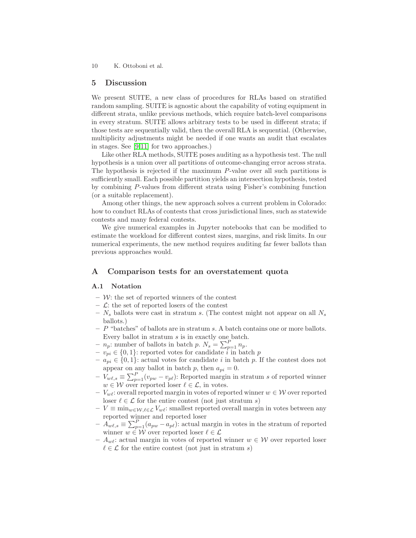## <span id="page-9-0"></span>5 Discussion

We present SUITE, a new class of procedures for RLAs based on stratified random sampling. SUITE is agnostic about the capability of voting equipment in different strata, unlike previous methods, which require batch-level comparisons in every stratum. SUITE allows arbitrary tests to be used in different strata; if those tests are sequentially valid, then the overall RLA is sequential. (Otherwise, multiplicity adjustments might be needed if one wants an audit that escalates in stages. See [\[9,](#page-14-5)[11\]](#page-14-9) for two approaches.)

Like other RLA methods, SUITE poses auditing as a hypothesis test. The null hypothesis is a union over all partitions of outcome-changing error across strata. The hypothesis is rejected if the maximum P-value over all such partitions is sufficiently small. Each possible partition yields an intersection hypothesis, tested by combining P-values from different strata using Fisher's combining function (or a suitable replacement).

Among other things, the new approach solves a current problem in Colorado: how to conduct RLAs of contests that cross jurisdictional lines, such as statewide contests and many federal contests.

We give numerical examples in Jupyter notebooks that can be modified to estimate the workload for different contest sizes, margins, and risk limits. In our numerical experiments, the new method requires auditing far fewer ballots than previous approaches would.

## <span id="page-9-1"></span>A Comparison tests for an overstatement quota

#### A.1 Notation

- $-$  W: the set of reported winners of the contest
- $\mathcal{L}$ : the set of reported losers of the contest
- $N_s$  ballots were cast in stratum s. (The contest might not appear on all  $N_s$ ballots.)
- $P$  "batches" of ballots are in stratum s. A batch contains one or more ballots. Every ballot in stratum s is in exactly one batch.
- $n_p$ : number of ballots in batch p.  $N_s = \sum_{p=1}^P n_p$ .
- $v_{pi} \in \{0, 1\}$ : reported votes for candidate i in batch p
- $− a_{pi} ∈ {0, 1}$ : actual votes for candidate *i* in batch *p*. If the contest does not appear on any ballot in batch p, then  $a_{pi} = 0$ .
- $V_{w\ell,s} \equiv \sum_{p=1}^{P} (v_{pw} v_{p\ell})$ : Reported margin in stratum s of reported winner  $w \in \mathcal{W}$  over reported loser  $\ell \in \mathcal{L}$ , in votes.
- $V_{w\ell}$ : overall reported margin in votes of reported winner  $w \in \mathcal{W}$  over reported loser  $\ell \in \mathcal{L}$  for the entire contest (not just stratum s)
- $-V \equiv \min_{w \in \mathcal{W}} \ell \in \mathcal{L} V_{w\ell}$ : smallest reported overall margin in votes between any reported winner and reported loser
- $-\overrightarrow{A}_{w\ell,s} \equiv \sum_{p=1}^{P} (a_{pw} a_{p\ell})$ : actual margin in votes in the stratum of reported winner  $w \in \mathcal{W}$  over reported loser  $\ell \in \mathcal{L}$
- $A_{w\ell}$ : actual margin in votes of reported winner  $w \in \mathcal{W}$  over reported loser  $\ell \in \mathcal{L}$  for the entire contest (not just in stratum s)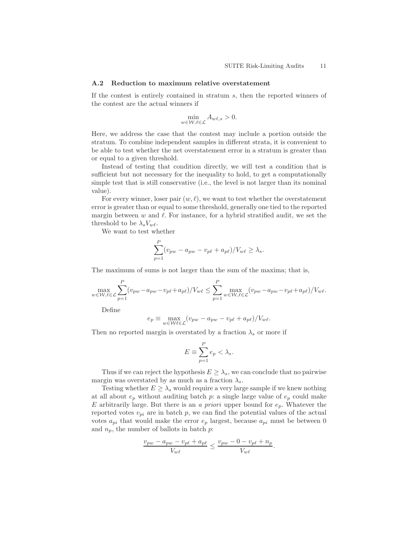#### A.2 Reduction to maximum relative overstatement

If the contest is entirely contained in stratum s, then the reported winners of the contest are the actual winners if

$$
\min_{w \in \mathcal{W}, \ell \in \mathcal{L}} A_{w\ell,s} > 0.
$$

Here, we address the case that the contest may include a portion outside the stratum. To combine independent samples in different strata, it is convenient to be able to test whether the net overstatement error in a stratum is greater than or equal to a given threshold.

Instead of testing that condition directly, we will test a condition that is sufficient but not necessary for the inequality to hold, to get a computationally simple test that is still conservative (i.e., the level is not larger than its nominal value).

For every winner, loser pair  $(w, \ell)$ , we want to test whether the overstatement error is greater than or equal to some threshold, generally one tied to the reported margin between  $w$  and  $\ell$ . For instance, for a hybrid stratified audit, we set the threshold to be  $\lambda_s V_{w\ell}$ .

We want to test whether

$$
\sum_{p=1}^{P} (v_{pw} - a_{pw} - v_{p\ell} + a_{p\ell})/V_{w\ell} \ge \lambda_s.
$$

The maximum of sums is not larger than the sum of the maxima; that is,

$$
\max_{w \in \mathcal{W}, \ell \in \mathcal{L}} \sum_{p=1}^{P} (v_{pw} - a_{pw} - v_{p\ell} + a_{p\ell}) / V_{w\ell} \le \sum_{p=1}^{P} \max_{w \in \mathcal{W}, \ell \in \mathcal{L}} (v_{pw} - a_{pw} - v_{p\ell} + a_{p\ell}) / V_{w\ell}.
$$

Define

$$
e_p \equiv \max_{w \in \mathcal{W}} \mathcal{L}(v_{pw} - a_{pw} - v_{p\ell} + a_{p\ell})/V_{w\ell}.
$$

Then no reported margin is overstated by a fraction  $\lambda_s$  or more if

$$
E \equiv \sum_{p=1}^{P} e_p < \lambda_s.
$$

Thus if we can reject the hypothesis  $E \geq \lambda_s$ , we can conclude that no pairwise margin was overstated by as much as a fraction  $\lambda_s$ .

Testing whether  $E \geq \lambda_s$  would require a very large sample if we knew nothing at all about  $e_p$  without auditing batch p: a single large value of  $e_p$  could make E arbitrarily large. But there is an a priori upper bound for  $e_p$ . Whatever the reported votes  $v_{pi}$  are in batch p, we can find the potential values of the actual votes  $a_{pi}$  that would make the error  $e_p$  largest, because  $a_{pi}$  must be between 0 and  $n_p$ , the number of ballots in batch p:

$$
\frac{v_{pw} - a_{pw} - v_{p\ell} + a_{p\ell}}{V_{w\ell}} \le \frac{v_{pw} - 0 - v_{p\ell} + n_p}{V_{w\ell}}.
$$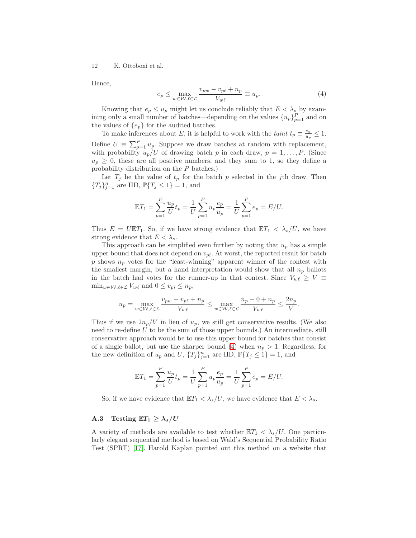Hence,

<span id="page-11-0"></span>
$$
e_p \le \max_{w \in \mathcal{W}, \ell \in \mathcal{L}} \frac{v_{pw} - v_{p\ell} + n_p}{V_{w\ell}} \equiv u_p. \tag{4}
$$

Knowing that  $e_p \leq u_p$  might let us conclude reliably that  $E < \lambda_s$  by examining only a small number of batches—depending on the values  $\{u_p\}_{p=1}^P$  and on the values of  $\{e_p\}$  for the audited batches.

To make inferences about E, it is helpful to work with the taint  $t_p \equiv \frac{e_p}{u_p}$  $\frac{e_p}{u_p} \leq 1.$ Define  $U \equiv \sum_{p=1}^{P} u_p$ . Suppose we draw batches at random with replacement, with probability  $u_p/U$  of drawing batch p in each draw,  $p = 1, \ldots, P$ . (Since  $u_p \geq 0$ , these are all positive numbers, and they sum to 1, so they define a probability distribution on the P batches.)

Let  $T_j$  be the value of  $t_p$  for the batch p selected in the j<sup>th</sup> draw. Then  ${T_j}_{j=1}^n$  are IID,  $\mathbb{P}{T_j \leq 1} = 1$ , and

$$
\mathbb{E}T_1 = \sum_{p=1}^P \frac{u_p}{U} t_p = \frac{1}{U} \sum_{p=1}^P u_p \frac{e_p}{u_p} = \frac{1}{U} \sum_{p=1}^P e_p = E/U.
$$

Thus  $E = U \mathbb{E} T_1$ . So, if we have strong evidence that  $\mathbb{E} T_1 < \lambda_s/U$ , we have strong evidence that  $E < \lambda_s$ .

This approach can be simplified even further by noting that  $u_p$  has a simple upper bound that does not depend on  $v_{pi}$ . At worst, the reported result for batch p shows  $n_p$  votes for the "least-winning" apparent winner of the contest with the smallest margin, but a hand interpretation would show that all  $n_p$  ballots in the batch had votes for the runner-up in that contest. Since  $V_{w\ell} \geq V \equiv$  $\min_{w \in \mathcal{W}, \ell \in \mathcal{L}} V_{w\ell}$  and  $0 \le v_{pi} \le n_p$ ,

$$
u_p = \max_{w \in \mathcal{W}, \ell \in \mathcal{L}} \frac{v_{pw} - v_{p\ell} + n_p}{V_{w\ell}} \le \max_{w \in \mathcal{W}, \ell \in \mathcal{L}} \frac{n_p - 0 + n_p}{V_{w\ell}} \le \frac{2n_p}{V}.
$$

Thus if we use  $2n_p/V$  in lieu of  $u_p$ , we still get conservative results. (We also need to re-define  $U$  to be the sum of those upper bounds.) An intermediate, still conservative approach would be to use this upper bound for batches that consist of a single ballot, but use the sharper bound [\(4\)](#page-11-0) when  $n_p > 1$ . Regardless, for the new definition of  $u_p$  and U,  $\{T_j\}_{j=1}^n$  are IID,  $\mathbb{P}\{T_j \leq 1\} = 1$ , and

$$
\mathbb{E}T_1 = \sum_{p=1}^P \frac{u_p}{U} t_p = \frac{1}{U} \sum_{p=1}^P u_p \frac{e_p}{u_p} = \frac{1}{U} \sum_{p=1}^P e_p = E/U.
$$

So, if we have evidence that  $\mathbb{E}T_1 < \lambda_s/U$ , we have evidence that  $E < \lambda_s$ .

## A.3 Testing  $\mathbb{E}T_1 \geq \lambda_s/U$

A variety of methods are available to test whether  $\mathbb{E}T_1 < \lambda_s/U$ . One particularly elegant sequential method is based on Wald's Sequential Probability Ratio Test (SPRT) [\[17\]](#page-14-16). Harold Kaplan pointed out this method on a website that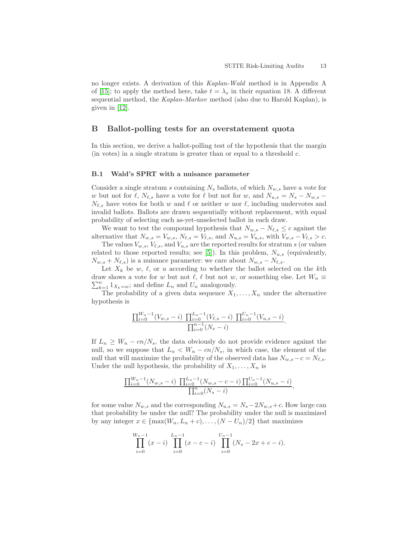no longer exists. A derivation of this Kaplan-Wald method is in Appendix A of [\[15\]](#page-14-15); to apply the method here, take  $t = \lambda_s$  in their equation 18. A different sequential method, the Kaplan-Markov method (also due to Harold Kaplan), is given in [\[12\]](#page-14-11).

## <span id="page-12-0"></span>B Ballot-polling tests for an overstatement quota

In this section, we derive a ballot-polling test of the hypothesis that the margin  $(in \; votes) \; in \; a \; single \; stratum \; is \; greater \; than \; or \; equal \; to \; a \; threshold \; c.$ 

#### B.1 Wald's SPRT with a nuisance parameter

Consider a single stratum s containing  $N_s$  ballots, of which  $N_{w,s}$  have a vote for w but not for  $\ell$ ,  $N_{\ell,s}$  have a vote for  $\ell$  but not for w, and  $N_{u,s} = N_s - N_{w,s}$  $N_{\ell,s}$  have votes for both w and  $\ell$  or neither w nor  $\ell$ , including undervotes and invalid ballots. Ballots are drawn sequentially without replacement, with equal probability of selecting each as-yet-unselected ballot in each draw.

We want to test the compound hypothesis that  $N_{w,s} - N_{\ell,s} \leq c$  against the alternative that  $N_{w,s} = V_{w,s}$ ,  $N_{\ell,s} = V_{\ell,s}$ , and  $N_{u,s} = V_{u,s}$ , with  $V_{w,s} - V_{\ell,s} > c$ .

The values  $V_{w,s}$ ,  $V_{\ell,s}$ , and  $V_{u,s}$  are the reported results for stratum s (or values related to those reported results; see [\[5\]](#page-14-4)). In this problem,  $N_{u,s}$  (equivalently,  $N_{w,s} + N_{\ell,s}$  is a nuisance parameter: we care about  $N_{w,s} - N_{\ell,s}$ .

Let  $X_k$  be w,  $\ell$ , or u according to whether the ballot selected on the kth  $\sum_{k=1}^{n} 1_{X_k=w}$ ; and define  $L_n$  and  $U_n$  analogously. draw shows a vote for w but not  $\ell, \ell$  but not w, or something else. Let  $W_n \equiv$ 

The probability of a given data sequence  $X_1, \ldots, X_n$  under the alternative hypothesis is

$$
\frac{\prod_{i=0}^{W_n-1}(V_{w,s}-i)\prod_{i=0}^{L_n-1}(V_{\ell,s}-i)\prod_{i=0}^{U_n-1}(V_{u,s}-i)}{\prod_{i=0}^{n-1}(N_s-i)}.
$$

If  $L_n \geq W_n - cn/N_s$ , the data obviously do not provide evidence against the null, so we suppose that  $L_n < W_n - cn/N_s$ , in which case, the element of the null that will maximize the probability of the observed data has  $N_{w,s}-c = N_{\ell,s}$ . Under the null hypothesis, the probability of  $X_1, \ldots, X_n$  is

$$
\frac{\prod_{i=0}^{W_n-1}(N_{w,s}-i)\prod_{i=0}^{L_n-1}(N_{w,s}-c-i)\prod_{i=0}^{U_n-1}(N_{u,s}-i)}{\prod_{i=0}^{n}(N_s-i)},
$$

for some value  $N_{w,s}$  and the corresponding  $N_{u,s} = N_s - 2N_{w,s} + c$ . How large can that probability be under the null? The probability under the null is maximized by any integer  $x \in \{\max(W_n, L_n + c), \ldots, (N - U_n)/2\}$  that maximizes

$$
\prod_{i=0}^{W_n-1} (x-i) \prod_{i=0}^{L_n-1} (x-c-i) \prod_{i=0}^{U_n-1} (N_s - 2x + c - i).
$$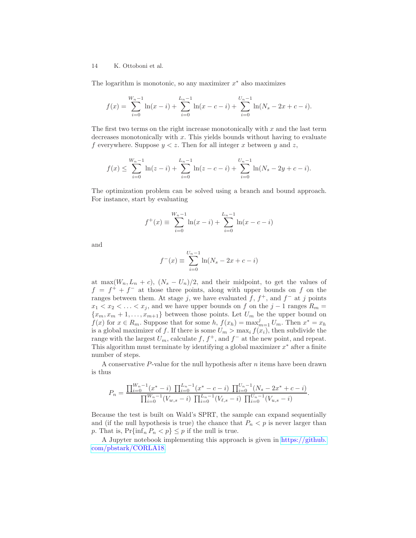The logarithm is monotonic, so any maximizer  $x^*$  also maximizes

$$
f(x) = \sum_{i=0}^{W_n-1} \ln(x-i) + \sum_{i=0}^{L_n-1} \ln(x-c-i) + \sum_{i=0}^{U_n-1} \ln(N_s - 2x + c - i).
$$

The first two terms on the right increase monotonically with  $x$  and the last term decreases monotonically with  $x$ . This yields bounds without having to evaluate f everywhere. Suppose  $y < z$ . Then for all integer x between y and z,

$$
f(x) \leq \sum_{i=0}^{W_n-1} \ln(z-i) + \sum_{i=0}^{L_n-1} \ln(z-c-i) + \sum_{i=0}^{U_n-1} \ln(N_s - 2y + c - i).
$$

The optimization problem can be solved using a branch and bound approach. For instance, start by evaluating

$$
f^{+}(x) \equiv \sum_{i=0}^{W_{n}-1} \ln(x-i) + \sum_{i=0}^{L_{n}-1} \ln(x-c-i)
$$

and

$$
f^{-}(x) \equiv \sum_{i=0}^{U_n - 1} \ln(N_s - 2x + c - i)
$$

at max $(W_n, L_n + c)$ ,  $(N_s - U_n)/2$ , and their midpoint, to get the values of  $f = f^+ + f^-$  at those three points, along with upper bounds on f on the ranges between them. At stage j, we have evaluated  $f, f^+$ , and  $f^-$  at j points  $x_1 < x_2 < \ldots < x_j$ , and we have upper bounds on f on the j – 1 ranges  $R_m =$  ${x_m, x_m + 1, \ldots, x_{m+1}}$  between those points. Let  $U_m$  be the upper bound on  $f(x)$  for  $x \in R_m$ . Suppose that for some  $h, f(x_h) = \max_{m=1}^j U_m$ . Then  $x^* = x_h$ is a global maximizer of f. If there is some  $U_m > \max_i f(x_i)$ , then subdivide the range with the largest  $U_m$ , calculate  $f, f^+$ , and  $f^-$  at the new point, and repeat. This algorithm must terminate by identifying a global maximizer  $x^*$  after a finite number of steps.

A conservative  $P$ -value for the null hypothesis after n items have been drawn is thus

$$
P_n = \frac{\prod_{i=0}^{W_n-1} (x^* - i) \prod_{i=0}^{L_n-1} (x^* - c - i) \prod_{i=0}^{U_n-1} (N_s - 2x^* + c - i)}{\prod_{i=0}^{W_n-1} (V_{w,s} - i) \prod_{i=0}^{L_n-1} (V_{\ell,s} - i) \prod_{i=0}^{U_n-1} (V_{u,s} - i)}.
$$

Because the test is built on Wald's SPRT, the sample can expand sequentially and (if the null hypothesis is true) the chance that  $P_n < p$  is never larger than p. That is,  $Pr{\{\inf_n P_n < p\}} \leq p$  if the null is true.

A Jupyter notebook implementing this approach is given in [https://github.](https://github.com/pbstark/CORLA18) [com/pbstark/CORLA18.](https://github.com/pbstark/CORLA18)